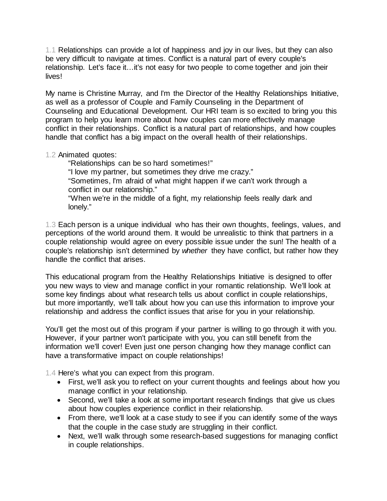1.1 Relationships can provide a lot of happiness and joy in our lives, but they can also be very difficult to navigate at times. Conflict is a natural part of every couple's relationship. Let's face it…it's not easy for two people to come together and join their lives!

My name is Christine Murray, and I'm the Director of the Healthy Relationships Initiative, as well as a professor of Couple and Family Counseling in the Department of Counseling and Educational Development. Our HRI team is so excited to bring you this program to help you learn more about how couples can more effectively manage conflict in their relationships. Conflict is a natural part of relationships, and how couples handle that conflict has a big impact on the overall health of their relationships.

### 1.2 Animated quotes:

"Relationships can be so hard sometimes!" "I love my partner, but sometimes they drive me crazy." "Sometimes, I'm afraid of what might happen if we can't work through a conflict in our relationship." "When we're in the middle of a fight, my relationship feels really dark and lonely."

1.3 Each person is a unique individual who has their own thoughts, feelings, values, and perceptions of the world around them. It would be unrealistic to think that partners in a couple relationship would agree on every possible issue under the sun! The health of a couple's relationship isn't determined by *whether* they have conflict, but rather how they handle the conflict that arises.

This educational program from the Healthy Relationships Initiative is designed to offer you new ways to view and manage conflict in your romantic relationship. We'll look at some key findings about what research tells us about conflict in couple relationships, but more importantly, we'll talk about how you can use this information to improve your relationship and address the conflict issues that arise for you in your relationship.

You'll get the most out of this program if your partner is willing to go through it with you. However, if your partner won't participate with you, you can still benefit from the information we'll cover! Even just one person changing how they manage conflict can have a transformative impact on couple relationships!

1.4 Here's what you can expect from this program.

- First, we'll ask you to reflect on your current thoughts and feelings about how you manage conflict in your relationship.
- Second, we'll take a look at some important research findings that give us clues about how couples experience conflict in their relationship.
- From there, we'll look at a case study to see if you can identify some of the ways that the couple in the case study are struggling in their conflict.
- Next, we'll walk through some research-based suggestions for managing conflict in couple relationships.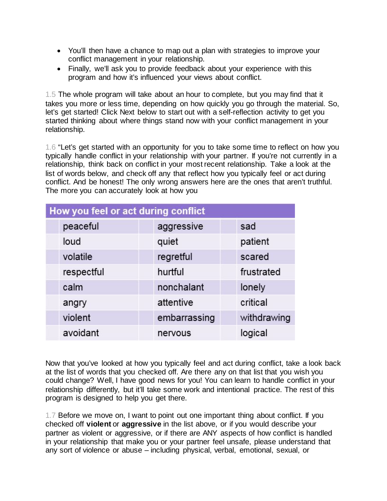- You'll then have a chance to map out a plan with strategies to improve your conflict management in your relationship.
- Finally, we'll ask you to provide feedback about your experience with this program and how it's influenced your views about conflict.

1.5 The whole program will take about an hour to complete, but you may find that it takes you more or less time, depending on how quickly you go through the material. So, let's get started! Click Next below to start out with a self-reflection activity to get you started thinking about where things stand now with your conflict management in your relationship.

1.6 "Let's get started with an opportunity for you to take some time to reflect on how you typically handle conflict in your relationship with your partner. If you're not currently in a relationship, think back on conflict in your most recent relationship. Take a look at the list of words below, and check off any that reflect how you typically feel or act during conflict. And be honest! The only wrong answers here are the ones that aren't truthful. The more you can accurately look at how you

| How you feel or act during conflict |              |             |
|-------------------------------------|--------------|-------------|
| peaceful                            | aggressive   | sad         |
| loud                                | quiet        | patient     |
| volatile                            | regretful    | scared      |
| respectful                          | hurtful      | frustrated  |
| calm                                | nonchalant   | lonely      |
| angry                               | attentive    | critical    |
| violent                             | embarrassing | withdrawing |
| avoidant                            | nervous      | logical     |

Now that you've looked at how you typically feel and act during conflict, take a look back at the list of words that you checked off. Are there any on that list that you wish you could change? Well, I have good news for you! You can learn to handle conflict in your relationship differently, but it'll take some work and intentional practice. The rest of this program is designed to help you get there.

1.7 Before we move on, I want to point out one important thing about conflict. If you checked off **violent** or **aggressive** in the list above, or if you would describe your partner as violent or aggressive, or if there are ANY aspects of how conflict is handled in your relationship that make you or your partner feel unsafe, please understand that any sort of violence or abuse – including physical, verbal, emotional, sexual, or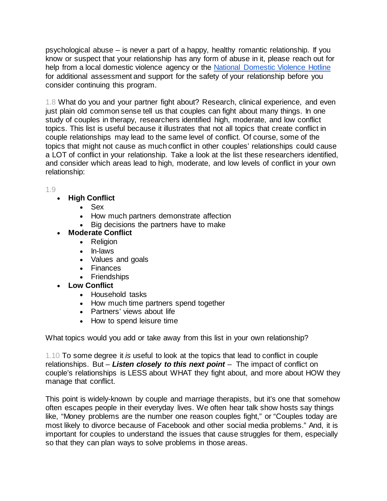psychological abuse – is never a part of a happy, healthy romantic relationship. If you know or suspect that your relationship has any form of abuse in it, please reach out for help from a local domestic violence agency or the [National Domestic Violence Hotline](http://www.thehotline.org/) for additional assessment and support for the safety of your relationship before you consider continuing this program.

1.8 What do you and your partner fight about? Research, clinical experience, and even just plain old common sense tell us that couples can fight about many things. In one study of couples in therapy, researchers identified high, moderate, and low conflict topics. This list is useful because it illustrates that not all topics that create conflict in couple relationships may lead to the same level of conflict. Of course, some of the topics that might not cause as much conflict in other couples' relationships could cause a LOT of conflict in your relationship. Take a look at the list these researchers identified, and consider which areas lead to high, moderate, and low levels of conflict in your own relationship:

1.9

## • **High Conflict**

- Sex
- How much partners demonstrate affection
- Big decisions the partners have to make

# • **Moderate Conflict**

- Religion
- In-laws
- Values and goals
- Finances
- Friendships
- **Low Conflict**
	- Household tasks
	- How much time partners spend together
	- Partners' views about life
	- How to spend leisure time

What topics would you add or take away from this list in your own relationship?

1.10 To some degree it *is* useful to look at the topics that lead to conflict in couple relationships. But – *Listen closely to this next point* – The impact of conflict on couple's relationships is LESS about WHAT they fight about, and more about HOW they manage that conflict.

This point is widely-known by couple and marriage therapists, but it's one that somehow often escapes people in their everyday lives. We often hear talk show hosts say things like, "Money problems are the number one reason couples fight," or "Couples today are most likely to divorce because of Facebook and other social media problems." And, it is important for couples to understand the issues that cause struggles for them, especially so that they can plan ways to solve problems in those areas.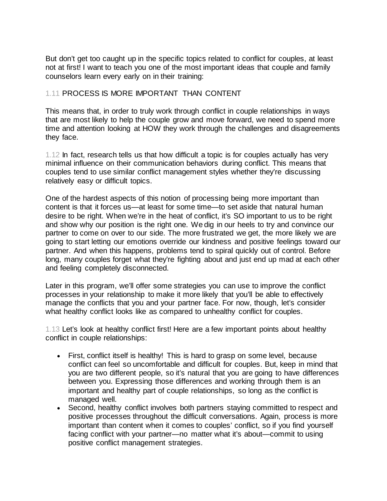But don't get too caught up in the specific topics related to conflict for couples, at least not at first! I want to teach you one of the most important ideas that couple and family counselors learn every early on in their training:

#### 1.11 PROCESS IS MORE IMPORTANT THAN CONTENT

This means that, in order to truly work through conflict in couple relationships in ways that are most likely to help the couple grow and move forward, we need to spend more time and attention looking at HOW they work through the challenges and disagreements they face.

1.12 In fact, research tells us that how difficult a topic is for couples actually has very minimal influence on their communication behaviors during conflict. This means that couples tend to use similar conflict management styles whether they're discussing relatively easy or difficult topics.

One of the hardest aspects of this notion of processing being more important than content is that it forces us—at least for some time—to set aside that natural human desire to be right. When we're in the heat of conflict, it's SO important to us to be right and show why our position is the right one. We dig in our heels to try and convince our partner to come on over to our side. The more frustrated we get, the more likely we are going to start letting our emotions override our kindness and positive feelings toward our partner. And when this happens, problems tend to spiral quickly out of control. Before long, many couples forget what they're fighting about and just end up mad at each other and feeling completely disconnected.

Later in this program, we'll offer some strategies you can use to improve the conflict processes in your relationship to make it more likely that you'll be able to effectively manage the conflicts that you and your partner face. For now, though, let's consider what healthy conflict looks like as compared to unhealthy conflict for couples.

1.13 Let's look at healthy conflict first! Here are a few important points about healthy conflict in couple relationships:

- First, conflict itself is healthy! This is hard to grasp on some level, because conflict can feel so uncomfortable and difficult for couples. But, keep in mind that you are two different people, so it's natural that you are going to have differences between you. Expressing those differences and working through them is an important and healthy part of couple relationships, so long as the conflict is managed well.
- Second, healthy conflict involves both partners staying committed to respect and positive processes throughout the difficult conversations. Again, process is more important than content when it comes to couples' conflict, so if you find yourself facing conflict with your partner—no matter what it's about—commit to using positive conflict management strategies.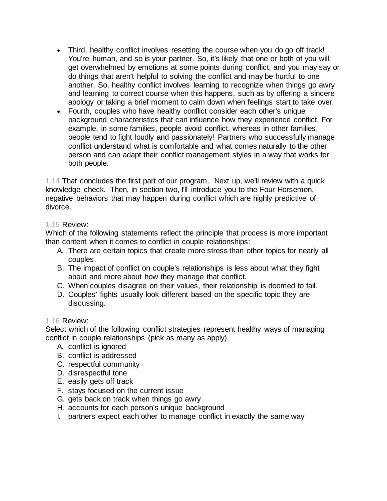- Third, healthy conflict involves resetting the course when you do go off track! You're human, and so is your partner. So, it's likely that one or both of you will get overwhelmed by emotions at some points during conflict, and you may say or do things that aren't helpful to solving the conflict and may be hurtful to one another. So, healthy conflict involves learning to recognize when things go awry and learning to correct course when this happens, such as by offering a sincere apology or taking a brief moment to calm down when feelings start to take over.
- Fourth, couples who have healthy conflict consider each other's unique background characteristics that can influence how they experience conflict. For example, in some families, people avoid conflict, whereas in other families, people tend to fight loudly and passionately! Partners who successfully manage conflict understand what is comfortable and what comes naturally to the other person and can adapt their conflict management styles in a way that works for both people.

1.14 That concludes the first part of our program. Next up, we'll review with a quick knowledge check. Then, in section two, I'll introduce you to the Four Horsemen, negative behaviors that may happen during conflict which are highly predictive of divorce.

### 1.15 Review:

Which of the following statements reflect the principle that process is more important than content when it comes to conflict in couple relationships:

- A. There are certain topics that create more stress than other topics for nearly all couples.
- B. The impact of conflict on couple's relationships is less about what they fight about and more about how they manage that conflict.
- C. When couples disagree on their values, their relationship is doomed to fail.
- D. Couples' fights usually look different based on the specific topic they are discussing.

#### 1.16 Review:

Select which of the following conflict strategies represent healthy ways of managing conflict in couple relationships (pick as many as apply).

- A. conflict is ignored
- B. conflict is addressed
- C. respectful community
- D. disrespectful tone
- E. easily gets off track
- F. stays focused on the current issue
- G. gets back on track when things go awry
- H. accounts for each person's unique background
- I. partners expect each other to manage conflict in exactly the same way